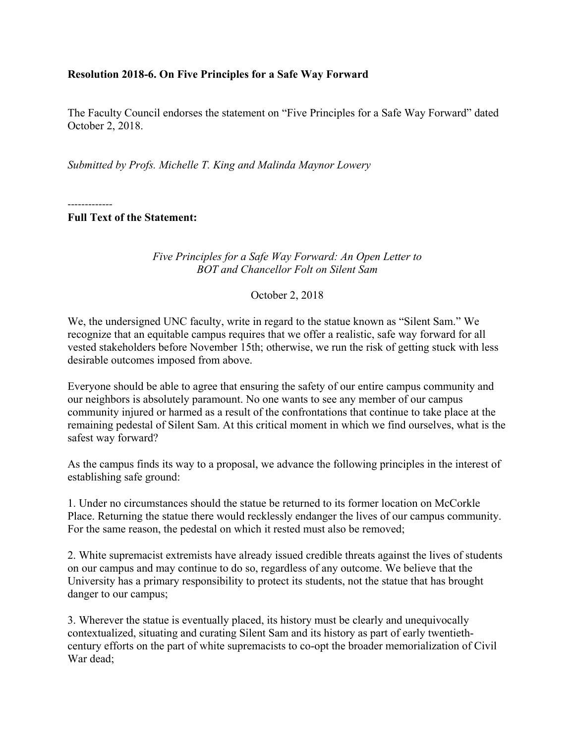## **Resolution 2018-6. On Five Principles for a Safe Way Forward**

The Faculty Council endorses the statement on "Five Principles for a Safe Way Forward" dated October 2, 2018.

*Submitted by Profs. Michelle T. King and Malinda Maynor Lowery*

-------------

**Full Text of the Statement:**

*Five Principles for a Safe Way Forward: An Open Letter to BOT and Chancellor Folt on Silent Sam*

October 2, 2018

We, the undersigned UNC faculty, write in regard to the statue known as "Silent Sam." We recognize that an equitable campus requires that we offer a realistic, safe way forward for all vested stakeholders before November 15th; otherwise, we run the risk of getting stuck with less desirable outcomes imposed from above.

Everyone should be able to agree that ensuring the safety of our entire campus community and our neighbors is absolutely paramount. No one wants to see any member of our campus community injured or harmed as a result of the confrontations that continue to take place at the remaining pedestal of Silent Sam. At this critical moment in which we find ourselves, what is the safest way forward?

As the campus finds its way to a proposal, we advance the following principles in the interest of establishing safe ground:

1. Under no circumstances should the statue be returned to its former location on McCorkle Place. Returning the statue there would recklessly endanger the lives of our campus community. For the same reason, the pedestal on which it rested must also be removed;

2. White supremacist extremists have already issued credible threats against the lives of students on our campus and may continue to do so, regardless of any outcome. We believe that the University has a primary responsibility to protect its students, not the statue that has brought danger to our campus;

3. Wherever the statue is eventually placed, its history must be clearly and unequivocally contextualized, situating and curating Silent Sam and its history as part of early twentiethcentury efforts on the part of white supremacists to co-opt the broader memorialization of Civil War dead;